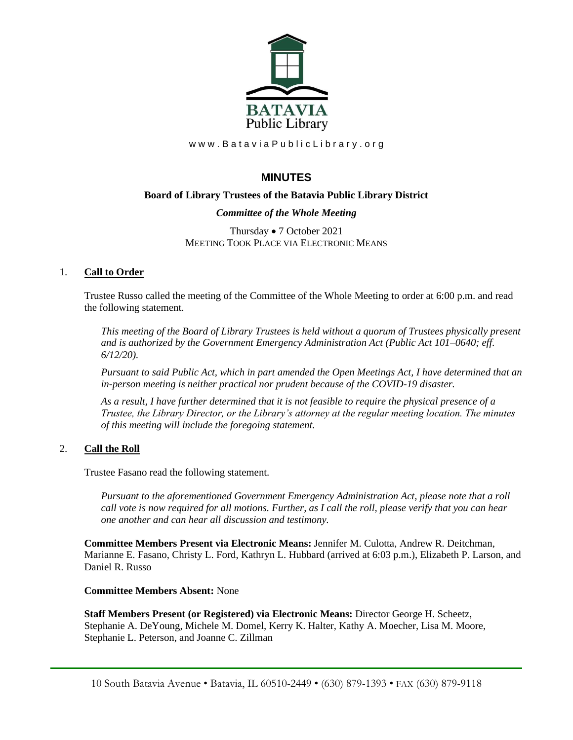

www.BataviaPublicLibrary.org

# **MINUTES**

# **Board of Library Trustees of the Batavia Public Library District**

# *Committee of the Whole Meeting*

Thursday • 7 October 2021 MEETING TOOK PLACE VIA ELECTRONIC MEANS

# 1. **Call to Order**

Trustee Russo called the meeting of the Committee of the Whole Meeting to order at 6:00 p.m. and read the following statement.

*This meeting of the Board of Library Trustees is held without a quorum of Trustees physically present and is authorized by the Government Emergency Administration Act (Public Act 101–0640; eff. 6/12/20).*

*Pursuant to said Public Act, which in part amended the Open Meetings Act, I have determined that an in-person meeting is neither practical nor prudent because of the COVID-19 disaster.*

*As a result, I have further determined that it is not feasible to require the physical presence of a Trustee, the Library Director, or the Library's attorney at the regular meeting location. The minutes of this meeting will include the foregoing statement.*

# 2. **Call the Roll**

Trustee Fasano read the following statement.

*Pursuant to the aforementioned Government Emergency Administration Act, please note that a roll call vote is now required for all motions. Further, as I call the roll, please verify that you can hear one another and can hear all discussion and testimony.*

**Committee Members Present via Electronic Means:** Jennifer M. Culotta, Andrew R. Deitchman, Marianne E. Fasano, Christy L. Ford, Kathryn L. Hubbard (arrived at 6:03 p.m.), Elizabeth P. Larson, and Daniel R. Russo

### **Committee Members Absent:** None

**Staff Members Present (or Registered) via Electronic Means:** Director George H. Scheetz, Stephanie A. DeYoung, Michele M. Domel, Kerry K. Halter, Kathy A. Moecher, Lisa M. Moore, Stephanie L. Peterson, and Joanne C. Zillman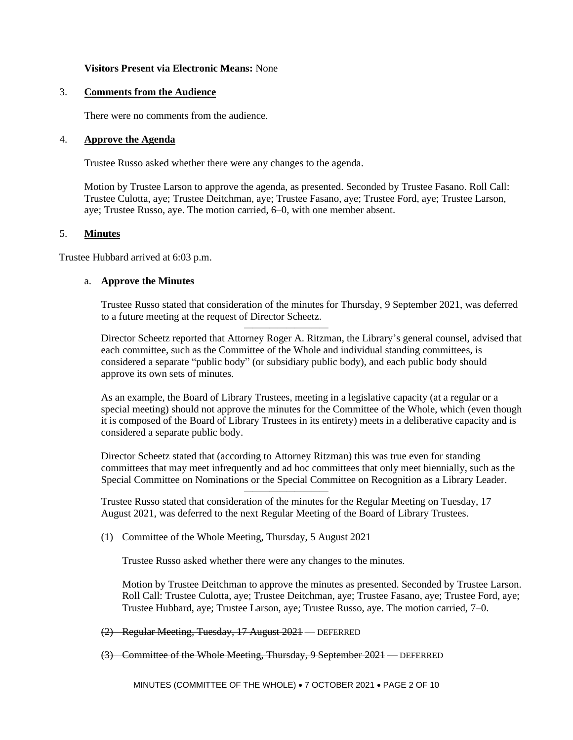#### **Visitors Present via Electronic Means:** None

### 3. **Comments from the Audience**

There were no comments from the audience.

#### 4. **Approve the Agenda**

Trustee Russo asked whether there were any changes to the agenda.

Motion by Trustee Larson to approve the agenda, as presented. Seconded by Trustee Fasano. Roll Call: Trustee Culotta, aye; Trustee Deitchman, aye; Trustee Fasano, aye; Trustee Ford, aye; Trustee Larson, aye; Trustee Russo, aye. The motion carried, 6–0, with one member absent.

#### 5. **Minutes**

Trustee Hubbard arrived at 6:03 p.m.

#### a. **Approve the Minutes**

Trustee Russo stated that consideration of the minutes for Thursday, 9 September 2021, was deferred to a future meeting at the request of Director Scheetz.

——————————

Director Scheetz reported that Attorney Roger A. Ritzman, the Library's general counsel, advised that each committee, such as the Committee of the Whole and individual standing committees, is considered a separate "public body" (or subsidiary public body), and each public body should approve its own sets of minutes.

As an example, the Board of Library Trustees, meeting in a legislative capacity (at a regular or a special meeting) should not approve the minutes for the Committee of the Whole, which (even though it is composed of the Board of Library Trustees in its entirety) meets in a deliberative capacity and is considered a separate public body.

Director Scheetz stated that (according to Attorney Ritzman) this was true even for standing committees that may meet infrequently and ad hoc committees that only meet biennially, such as the Special Committee on Nominations or the Special Committee on Recognition as a Library Leader.

Trustee Russo stated that consideration of the minutes for the Regular Meeting on Tuesday, 17 August 2021, was deferred to the next Regular Meeting of the Board of Library Trustees.

——————————

(1) Committee of the Whole Meeting, Thursday, 5 August 2021

Trustee Russo asked whether there were any changes to the minutes.

Motion by Trustee Deitchman to approve the minutes as presented. Seconded by Trustee Larson. Roll Call: Trustee Culotta, aye; Trustee Deitchman, aye; Trustee Fasano, aye; Trustee Ford, aye; Trustee Hubbard, aye; Trustee Larson, aye; Trustee Russo, aye. The motion carried, 7–0.

(2) Regular Meeting, Tuesday, 17 August 2021 — DEFERRED

(3) Committee of the Whole Meeting, Thursday, 9 September 2021 — DEFERRED

MINUTES (COMMITTEE OF THE WHOLE) • 7 OCTOBER 2021 • PAGE 2 OF 10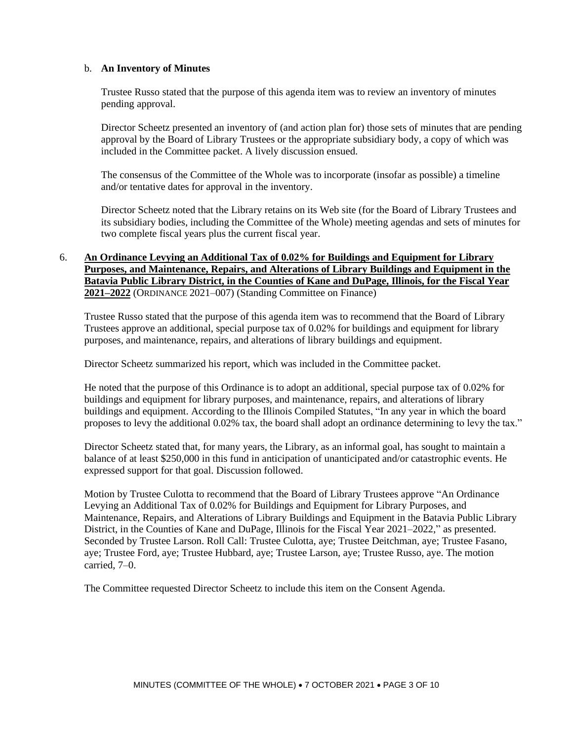#### b. **An Inventory of Minutes**

Trustee Russo stated that the purpose of this agenda item was to review an inventory of minutes pending approval.

Director Scheetz presented an inventory of (and action plan for) those sets of minutes that are pending approval by the Board of Library Trustees or the appropriate subsidiary body, a copy of which was included in the Committee packet. A lively discussion ensued.

The consensus of the Committee of the Whole was to incorporate (insofar as possible) a timeline and/or tentative dates for approval in the inventory.

Director Scheetz noted that the Library retains on its Web site (for the Board of Library Trustees and its subsidiary bodies, including the Committee of the Whole) meeting agendas and sets of minutes for two complete fiscal years plus the current fiscal year.

# 6. **An Ordinance Levying an Additional Tax of 0.02% for Buildings and Equipment for Library Purposes, and Maintenance, Repairs, and Alterations of Library Buildings and Equipment in the Batavia Public Library District, in the Counties of Kane and DuPage, Illinois, for the Fiscal Year 2021–2022** (ORDINANCE 2021–007) (Standing Committee on Finance)

Trustee Russo stated that the purpose of this agenda item was to recommend that the Board of Library Trustees approve an additional, special purpose tax of 0.02% for buildings and equipment for library purposes, and maintenance, repairs, and alterations of library buildings and equipment.

Director Scheetz summarized his report, which was included in the Committee packet.

He noted that the purpose of this Ordinance is to adopt an additional, special purpose tax of 0.02% for buildings and equipment for library purposes, and maintenance, repairs, and alterations of library buildings and equipment. According to the Illinois Compiled Statutes, "In any year in which the board proposes to levy the additional 0.02% tax, the board shall adopt an ordinance determining to levy the tax."

Director Scheetz stated that, for many years, the Library, as an informal goal, has sought to maintain a balance of at least \$250,000 in this fund in anticipation of unanticipated and/or catastrophic events. He expressed support for that goal. Discussion followed.

Motion by Trustee Culotta to recommend that the Board of Library Trustees approve "An Ordinance Levying an Additional Tax of 0.02% for Buildings and Equipment for Library Purposes, and Maintenance, Repairs, and Alterations of Library Buildings and Equipment in the Batavia Public Library District, in the Counties of Kane and DuPage, Illinois for the Fiscal Year 2021–2022," as presented. Seconded by Trustee Larson. Roll Call: Trustee Culotta, aye; Trustee Deitchman, aye; Trustee Fasano, aye; Trustee Ford, aye; Trustee Hubbard, aye; Trustee Larson, aye; Trustee Russo, aye. The motion carried, 7–0.

The Committee requested Director Scheetz to include this item on the Consent Agenda.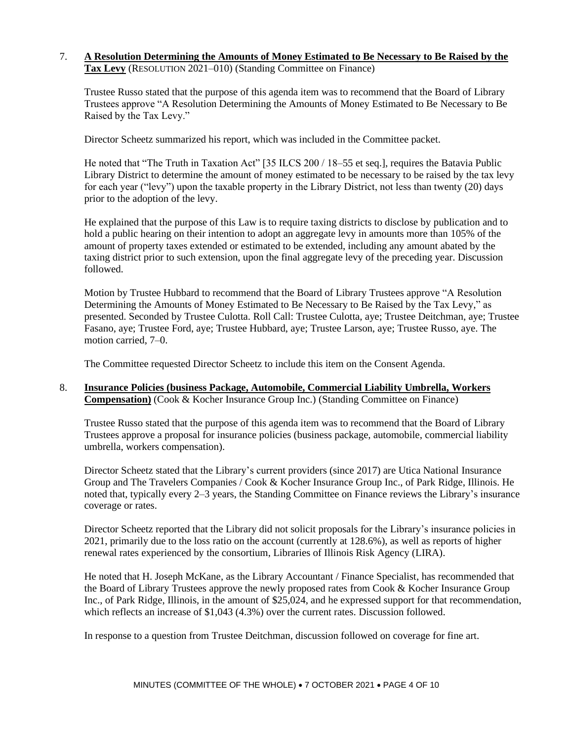### 7. **A Resolution Determining the Amounts of Money Estimated to Be Necessary to Be Raised by the Tax Levy** (RESOLUTION 2021–010) (Standing Committee on Finance)

Trustee Russo stated that the purpose of this agenda item was to recommend that the Board of Library Trustees approve "A Resolution Determining the Amounts of Money Estimated to Be Necessary to Be Raised by the Tax Levy."

Director Scheetz summarized his report, which was included in the Committee packet.

He noted that "The Truth in Taxation Act" [35 ILCS 200 / 18–55 et seq.], requires the Batavia Public Library District to determine the amount of money estimated to be necessary to be raised by the tax levy for each year ("levy") upon the taxable property in the Library District, not less than twenty (20) days prior to the adoption of the levy.

He explained that the purpose of this Law is to require taxing districts to disclose by publication and to hold a public hearing on their intention to adopt an aggregate levy in amounts more than 105% of the amount of property taxes extended or estimated to be extended, including any amount abated by the taxing district prior to such extension, upon the final aggregate levy of the preceding year. Discussion followed.

Motion by Trustee Hubbard to recommend that the Board of Library Trustees approve "A Resolution Determining the Amounts of Money Estimated to Be Necessary to Be Raised by the Tax Levy," as presented. Seconded by Trustee Culotta. Roll Call: Trustee Culotta, aye; Trustee Deitchman, aye; Trustee Fasano, aye; Trustee Ford, aye; Trustee Hubbard, aye; Trustee Larson, aye; Trustee Russo, aye. The motion carried, 7–0.

The Committee requested Director Scheetz to include this item on the Consent Agenda.

### 8. **Insurance Policies (business Package, Automobile, Commercial Liability Umbrella, Workers Compensation)** (Cook & Kocher Insurance Group Inc.) (Standing Committee on Finance)

Trustee Russo stated that the purpose of this agenda item was to recommend that the Board of Library Trustees approve a proposal for insurance policies (business package, automobile, commercial liability umbrella, workers compensation).

Director Scheetz stated that the Library's current providers (since 2017) are Utica National Insurance Group and The Travelers Companies / Cook & Kocher Insurance Group Inc., of Park Ridge, Illinois. He noted that, typically every 2–3 years, the Standing Committee on Finance reviews the Library's insurance coverage or rates.

Director Scheetz reported that the Library did not solicit proposals for the Library's insurance policies in 2021, primarily due to the loss ratio on the account (currently at 128.6%), as well as reports of higher renewal rates experienced by the consortium, Libraries of Illinois Risk Agency (LIRA).

He noted that H. Joseph McKane, as the Library Accountant / Finance Specialist, has recommended that the Board of Library Trustees approve the newly proposed rates from Cook & Kocher Insurance Group Inc., of Park Ridge, Illinois, in the amount of \$25,024, and he expressed support for that recommendation, which reflects an increase of \$1,043 (4.3%) over the current rates. Discussion followed.

In response to a question from Trustee Deitchman, discussion followed on coverage for fine art.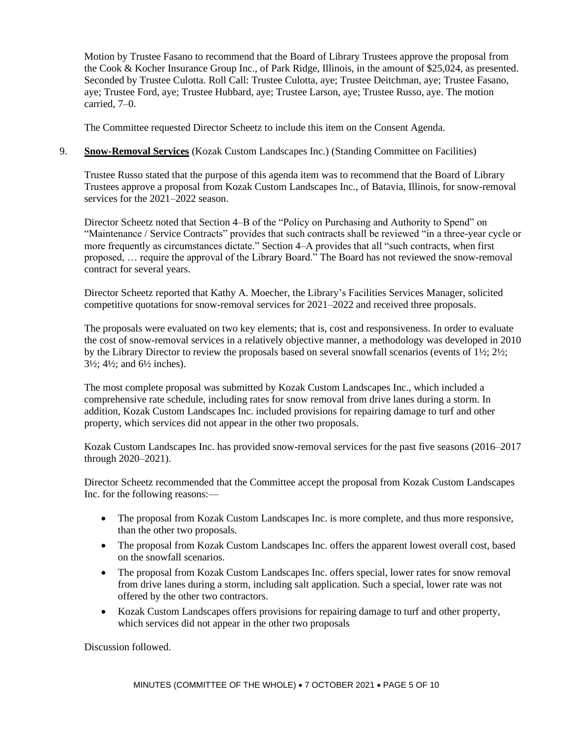Motion by Trustee Fasano to recommend that the Board of Library Trustees approve the proposal from the Cook & Kocher Insurance Group Inc., of Park Ridge, Illinois, in the amount of \$25,024, as presented. Seconded by Trustee Culotta. Roll Call: Trustee Culotta, aye; Trustee Deitchman, aye; Trustee Fasano, aye; Trustee Ford, aye; Trustee Hubbard, aye; Trustee Larson, aye; Trustee Russo, aye. The motion carried, 7–0.

The Committee requested Director Scheetz to include this item on the Consent Agenda.

# 9. **Snow-Removal Services** (Kozak Custom Landscapes Inc.) (Standing Committee on Facilities)

Trustee Russo stated that the purpose of this agenda item was to recommend that the Board of Library Trustees approve a proposal from Kozak Custom Landscapes Inc., of Batavia, Illinois, for snow-removal services for the 2021–2022 season.

Director Scheetz noted that Section 4–B of the "Policy on Purchasing and Authority to Spend" on "Maintenance / Service Contracts" provides that such contracts shall be reviewed "in a three-year cycle or more frequently as circumstances dictate." Section 4–A provides that all "such contracts, when first proposed, … require the approval of the Library Board." The Board has not reviewed the snow-removal contract for several years.

Director Scheetz reported that Kathy A. Moecher, the Library's Facilities Services Manager, solicited competitive quotations for snow-removal services for 2021–2022 and received three proposals.

The proposals were evaluated on two key elements; that is, cost and responsiveness. In order to evaluate the cost of snow-removal services in a relatively objective manner, a methodology was developed in 2010 by the Library Director to review the proposals based on several snowfall scenarios (events of 1½; 2½;  $3\frac{1}{2}$ ;  $4\frac{1}{2}$ ; and  $6\frac{1}{2}$  inches).

The most complete proposal was submitted by Kozak Custom Landscapes Inc., which included a comprehensive rate schedule, including rates for snow removal from drive lanes during a storm. In addition, Kozak Custom Landscapes Inc. included provisions for repairing damage to turf and other property, which services did not appear in the other two proposals.

Kozak Custom Landscapes Inc. has provided snow-removal services for the past five seasons (2016–2017 through 2020–2021).

Director Scheetz recommended that the Committee accept the proposal from Kozak Custom Landscapes Inc. for the following reasons:—

- The proposal from Kozak Custom Landscapes Inc. is more complete, and thus more responsive, than the other two proposals.
- The proposal from Kozak Custom Landscapes Inc. offers the apparent lowest overall cost, based on the snowfall scenarios.
- The proposal from Kozak Custom Landscapes Inc. offers special, lower rates for snow removal from drive lanes during a storm, including salt application. Such a special, lower rate was not offered by the other two contractors.
- Kozak Custom Landscapes offers provisions for repairing damage to turf and other property, which services did not appear in the other two proposals

Discussion followed.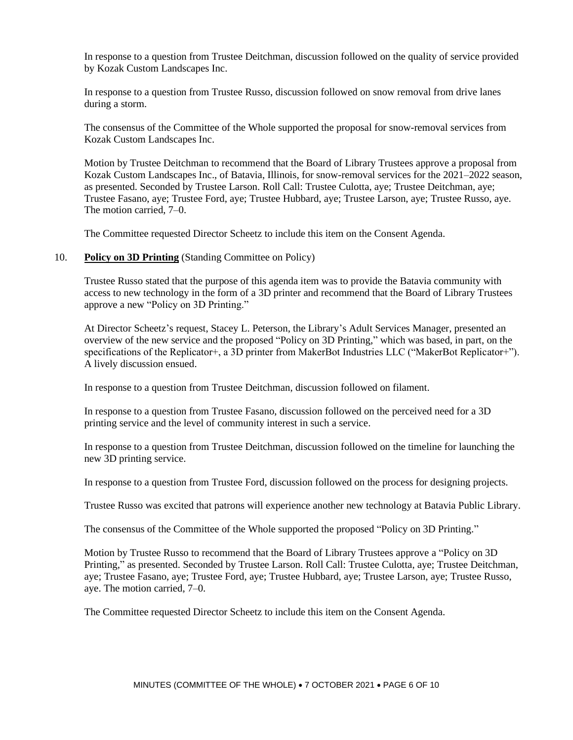In response to a question from Trustee Deitchman, discussion followed on the quality of service provided by Kozak Custom Landscapes Inc.

In response to a question from Trustee Russo, discussion followed on snow removal from drive lanes during a storm.

The consensus of the Committee of the Whole supported the proposal for snow-removal services from Kozak Custom Landscapes Inc.

Motion by Trustee Deitchman to recommend that the Board of Library Trustees approve a proposal from Kozak Custom Landscapes Inc., of Batavia, Illinois, for snow-removal services for the 2021–2022 season, as presented. Seconded by Trustee Larson. Roll Call: Trustee Culotta, aye; Trustee Deitchman, aye; Trustee Fasano, aye; Trustee Ford, aye; Trustee Hubbard, aye; Trustee Larson, aye; Trustee Russo, aye. The motion carried, 7–0.

The Committee requested Director Scheetz to include this item on the Consent Agenda.

#### 10. **Policy on 3D Printing** (Standing Committee on Policy)

Trustee Russo stated that the purpose of this agenda item was to provide the Batavia community with access to new technology in the form of a 3D printer and recommend that the Board of Library Trustees approve a new "Policy on 3D Printing."

At Director Scheetz's request, Stacey L. Peterson, the Library's Adult Services Manager, presented an overview of the new service and the proposed "Policy on 3D Printing," which was based, in part, on the specifications of the Replicator+, a 3D printer from MakerBot Industries LLC ("MakerBot Replicator+"). A lively discussion ensued.

In response to a question from Trustee Deitchman, discussion followed on filament.

In response to a question from Trustee Fasano, discussion followed on the perceived need for a 3D printing service and the level of community interest in such a service.

In response to a question from Trustee Deitchman, discussion followed on the timeline for launching the new 3D printing service.

In response to a question from Trustee Ford, discussion followed on the process for designing projects.

Trustee Russo was excited that patrons will experience another new technology at Batavia Public Library.

The consensus of the Committee of the Whole supported the proposed "Policy on 3D Printing."

Motion by Trustee Russo to recommend that the Board of Library Trustees approve a "Policy on 3D Printing," as presented. Seconded by Trustee Larson. Roll Call: Trustee Culotta, aye; Trustee Deitchman, aye; Trustee Fasano, aye; Trustee Ford, aye; Trustee Hubbard, aye; Trustee Larson, aye; Trustee Russo, aye. The motion carried, 7–0.

The Committee requested Director Scheetz to include this item on the Consent Agenda.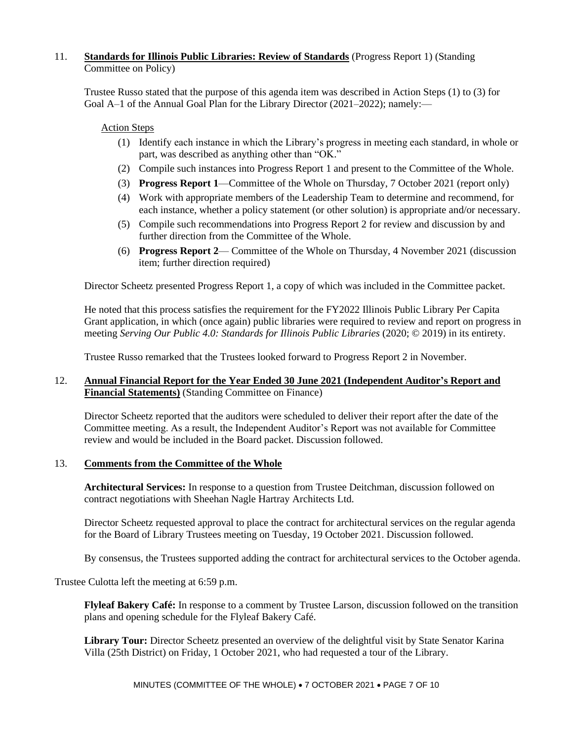# 11. **Standards for Illinois Public Libraries: Review of Standards** (Progress Report 1) (Standing Committee on Policy)

Trustee Russo stated that the purpose of this agenda item was described in Action Steps (1) to (3) for Goal A–1 of the Annual Goal Plan for the Library Director (2021–2022); namely:—

### Action Steps

- (1) Identify each instance in which the Library's progress in meeting each standard, in whole or part, was described as anything other than "OK."
- (2) Compile such instances into Progress Report 1 and present to the Committee of the Whole.
- (3) **Progress Report 1**—Committee of the Whole on Thursday, 7 October 2021 (report only)
- (4) Work with appropriate members of the Leadership Team to determine and recommend, for each instance, whether a policy statement (or other solution) is appropriate and/or necessary.
- (5) Compile such recommendations into Progress Report 2 for review and discussion by and further direction from the Committee of the Whole.
- (6) **Progress Report 2** Committee of the Whole on Thursday, 4 November 2021 (discussion item; further direction required)

Director Scheetz presented Progress Report 1, a copy of which was included in the Committee packet.

He noted that this process satisfies the requirement for the FY2022 Illinois Public Library Per Capita Grant application, in which (once again) public libraries were required to review and report on progress in meeting *Serving Our Public 4.0: Standards for Illinois Public Libraries* (2020; © 2019) in its entirety.

Trustee Russo remarked that the Trustees looked forward to Progress Report 2 in November.

## 12. **Annual Financial Report for the Year Ended 30 June 2021 (Independent Auditor's Report and Financial Statements)** (Standing Committee on Finance)

Director Scheetz reported that the auditors were scheduled to deliver their report after the date of the Committee meeting. As a result, the Independent Auditor's Report was not available for Committee review and would be included in the Board packet. Discussion followed.

#### 13. **Comments from the Committee of the Whole**

**Architectural Services:** In response to a question from Trustee Deitchman, discussion followed on contract negotiations with Sheehan Nagle Hartray Architects Ltd.

Director Scheetz requested approval to place the contract for architectural services on the regular agenda for the Board of Library Trustees meeting on Tuesday, 19 October 2021. Discussion followed.

By consensus, the Trustees supported adding the contract for architectural services to the October agenda.

Trustee Culotta left the meeting at 6:59 p.m.

**Flyleaf Bakery Café:** In response to a comment by Trustee Larson, discussion followed on the transition plans and opening schedule for the Flyleaf Bakery Café.

**Library Tour:** Director Scheetz presented an overview of the delightful visit by State Senator Karina Villa (25th District) on Friday, 1 October 2021, who had requested a tour of the Library.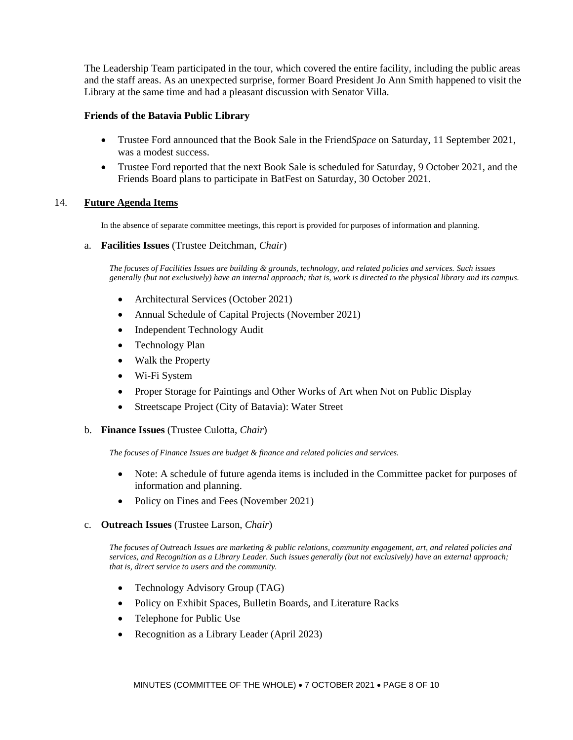The Leadership Team participated in the tour, which covered the entire facility, including the public areas and the staff areas. As an unexpected surprise, former Board President Jo Ann Smith happened to visit the Library at the same time and had a pleasant discussion with Senator Villa.

### **Friends of the Batavia Public Library**

- Trustee Ford announced that the Book Sale in the Friend*Space* on Saturday, 11 September 2021, was a modest success.
- Trustee Ford reported that the next Book Sale is scheduled for Saturday, 9 October 2021, and the Friends Board plans to participate in BatFest on Saturday, 30 October 2021.

#### 14. **Future Agenda Items**

In the absence of separate committee meetings, this report is provided for purposes of information and planning.

a. **Facilities Issues** (Trustee Deitchman, *Chair*)

*The focuses of Facilities Issues are building & grounds, technology, and related policies and services. Such issues generally (but not exclusively) have an internal approach; that is, work is directed to the physical library and its campus.*

- Architectural Services (October 2021)
- Annual Schedule of Capital Projects (November 2021)
- Independent Technology Audit
- Technology Plan
- Walk the Property
- Wi-Fi System
- Proper Storage for Paintings and Other Works of Art when Not on Public Display
- Streetscape Project (City of Batavia): Water Street
- b. **Finance Issues** (Trustee Culotta, *Chair*)

*The focuses of Finance Issues are budget & finance and related policies and services.*

- Note: A schedule of future agenda items is included in the Committee packet for purposes of information and planning.
- Policy on Fines and Fees (November 2021)
- c. **Outreach Issues** (Trustee Larson, *Chair*)

*The focuses of Outreach Issues are marketing & public relations, community engagement, art, and related policies and services, and Recognition as a Library Leader. Such issues generally (but not exclusively) have an external approach; that is, direct service to users and the community.*

- Technology Advisory Group (TAG)
- Policy on Exhibit Spaces, Bulletin Boards, and Literature Racks
- Telephone for Public Use
- Recognition as a Library Leader (April 2023)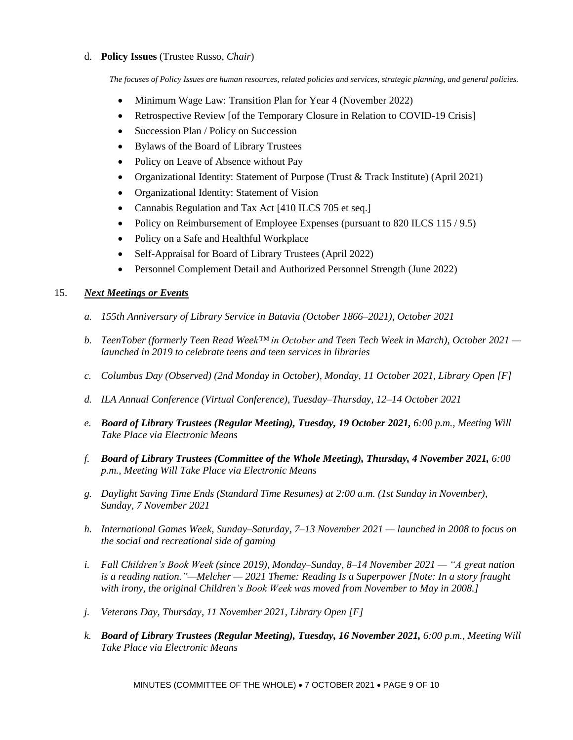# d. **Policy Issues** (Trustee Russo, *Chair*)

*The focuses of Policy Issues are human resources, related policies and services, strategic planning, and general policies.*

- Minimum Wage Law: Transition Plan for Year 4 (November 2022)
- Retrospective Review [of the Temporary Closure in Relation to COVID-19 Crisis]
- Succession Plan / Policy on Succession
- Bylaws of the Board of Library Trustees
- Policy on Leave of Absence without Pay
- Organizational Identity: Statement of Purpose (Trust & Track Institute) (April 2021)
- Organizational Identity: Statement of Vision
- Cannabis Regulation and Tax Act [410 ILCS 705 et seq.]
- Policy on Reimbursement of Employee Expenses (pursuant to 820 ILCS 115/9.5)
- Policy on a Safe and Healthful Workplace
- Self-Appraisal for Board of Library Trustees (April 2022)
- Personnel Complement Detail and Authorized Personnel Strength (June 2022)

## 15. *Next Meetings or Events*

- *a. 155th Anniversary of Library Service in Batavia (October 1866–2021), October 2021*
- *b. TeenTober (formerly Teen Read Week™ in October and Teen Tech Week in March), October 2021 launched in 2019 to celebrate teens and teen services in libraries*
- *c. Columbus Day (Observed) (2nd Monday in October), Monday, 11 October 2021, Library Open [F]*
- *d. ILA Annual Conference (Virtual Conference), Tuesday–Thursday, 12–14 October 2021*
- *e. Board of Library Trustees (Regular Meeting), Tuesday, 19 October 2021, 6:00 p.m., Meeting Will Take Place via Electronic Means*
- *f. Board of Library Trustees (Committee of the Whole Meeting), Thursday, 4 November 2021, 6:00 p.m., Meeting Will Take Place via Electronic Means*
- *g. Daylight Saving Time Ends (Standard Time Resumes) at 2:00 a.m. (1st Sunday in November), Sunday, 7 November 2021*
- *h. International Games Week, Sunday–Saturday, 7–13 November 2021 — launched in 2008 to focus on the social and recreational side of gaming*
- *i. Fall Children's Book Week (since 2019), Monday–Sunday, 8–14 November 2021 — "A great nation is a reading nation."—Melcher — 2021 Theme: Reading Is a Superpower [Note: In a story fraught with irony, the original Children's Book Week was moved from November to May in 2008.]*
- *j. Veterans Day, Thursday, 11 November 2021, Library Open [F]*
- *k. Board of Library Trustees (Regular Meeting), Tuesday, 16 November 2021, 6:00 p.m., Meeting Will Take Place via Electronic Means*